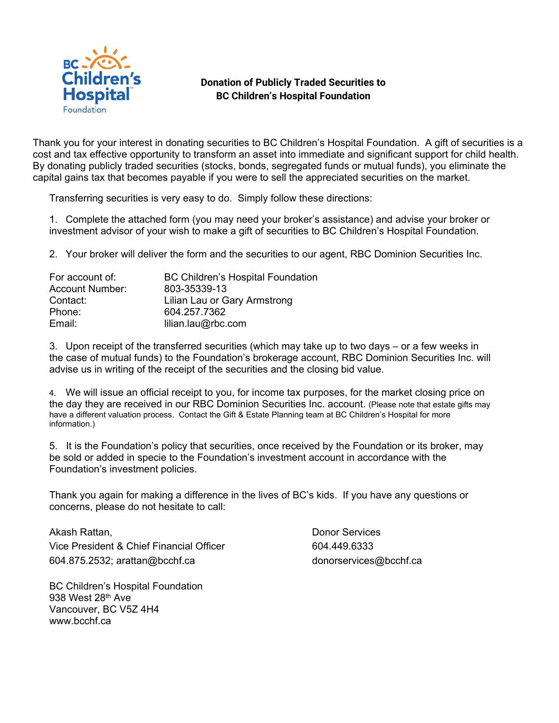

## **Donation of Publicly Traded Securities to BC Children's Hospital Foundation**

Thank you for your interest in donating securities to BC Children's Hospital Foundation. A gift of securities is a cost and tax effective opportunity to transform an asset into immediate and significant support for child health. By donating publicly traded securities (stocks, bonds, segregated funds or mutual funds), you eliminate the capital gains tax that becomes payable if you were to sell the appreciated securities on the market.

Transferring securities is very easy to do. Simply follow these directions:

1. Complete the attached form (you may need your broker's assistance) and advise your broker or investment advisor of your wish to make a gift of securities to BC Children's Hospital Foundation.

2. Your broker will deliver the form and the securities to our agent, RBC Dominion Securities Inc.

| For account of:        | <b>BC Children's Hospital Foundation</b> |
|------------------------|------------------------------------------|
| <b>Account Number:</b> | 803-35339-13                             |
| Contact:               | Lilian Lau or Gary Armstrong             |
| Phone:                 | 604.257.7362                             |
| Email:                 | lilian.lau@rbc.com                       |

3. Upon receipt of the transferred securities (which may take up to two days – or a few weeks in the case of mutual funds) to the Foundation's brokerage account, RBC Dominion Securities Inc. will advise us in writing of the receipt of the securities and the closing bid value.

4. We will issue an official receipt to you, for income tax purposes, for the market closing price on the day they are received in our RBC Dominion Securities Inc. account. (Please note that estate gifts may have a different valuation process. Contact the Gift & Estate Planning team at BC Children's Hospital for more information.)

5. It is the Foundation's policy that securities, once received by the Foundation or its broker, may be sold or added in specie to the Foundation's investment account in accordance with the Foundation's investment policies.

Thank you again for making a difference in the lives of BC's kids. If you have any questions or concerns, please do not hesitate to call:

Akash Rattan, Vice President & Chief Financial Officer 604.875.2532; arattan@bcchf.ca

BC Children's Hospital Foundation 938 West 28th Ave Vancouver, BC V5Z 4H4 www.bcchf.ca

Donor Services 604.449.6333 donorservices@bcchf.ca